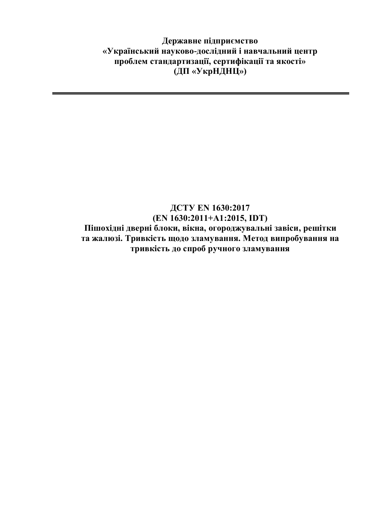**Державне підприємство «Український науково-дослідний і навчальний центр проблем стандартизації, сертифікації та якості» (ДП «УкрНДНЦ»)**

## **ДСТУ ЕN 1630:2017 (ЕN 1630:2011+А1:2015, IDТ) Пішохідні дверні блоки, вікна, огороджувальні завіси, решітки та жалюзі. Тривкість щодо зламування. Метод випробування на тривкість до спроб ручного зламування**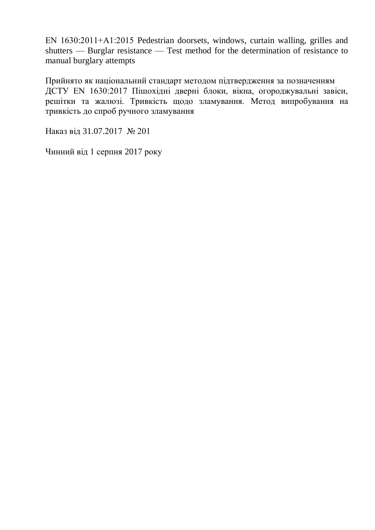EN 1630:2011+А1:2015 Pedestrian doorsets, windows, curtain walling, grilles and shutters — Burglar resistance — Test method for the determination of resistance to manual burglary attempts

Прийнято як національний стандарт методом підтвердження за позначенням ДСТУ ЕN 1630:2017 Пішохідні дверні блоки, вікна, огороджувальні завіси, решітки та жалюзі. Тривкість щодо зламування. Метод випробування на тривкість до спроб ручного зламування

Наказ від 31.07.2017 № 201

Чинний від 1 серпня 2017 року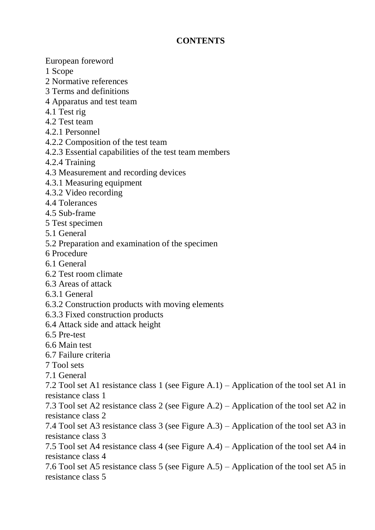## **CONTENTS**

European foreword

- 1 Scope
- 2 Normative references
- 3 Terms and definitions
- 4 Apparatus and test team
- 4.1 Test rig
- 4.2 Test team
- 4.2.1 Personnel
- 4.2.2 Composition of the test team
- 4.2.3 Essential capabilities of the test team members
- 4.2.4 Training
- 4.3 Measurement and recording devices
- 4.3.1 Measuring equipment
- 4.3.2 Video recording
- 4.4 Tolerances
- 4.5 Sub-frame
- 5 Test specimen
- 5.1 General
- 5.2 Preparation and examination of the specimen
- 6 Procedure
- 6.1 General
- 6.2 Test room climate
- 6.3 Areas of attack
- 6.3.1 General
- 6.3.2 Construction products with moving elements
- 6.3.3 Fixed construction products
- 6.4 Attack side and attack height
- 6.5 Pre-test
- 6.6 Main test
- 6.7 Failure criteria
- 7 Tool sets
- 7.1 General

7.2 Tool set A1 resistance class 1 (see Figure A.1) – Application of the tool set A1 in resistance class 1

7.3 Tool set A2 resistance class 2 (see Figure A.2) – Application of the tool set A2 in resistance class 2

7.4 Tool set A3 resistance class 3 (see Figure A.3) – Application of the tool set A3 in resistance class 3

7.5 Tool set A4 resistance class 4 (see Figure A.4) – Application of the tool set A4 in resistance class 4

7.6 Tool set A5 resistance class 5 (see Figure A.5) – Application of the tool set A5 in resistance class 5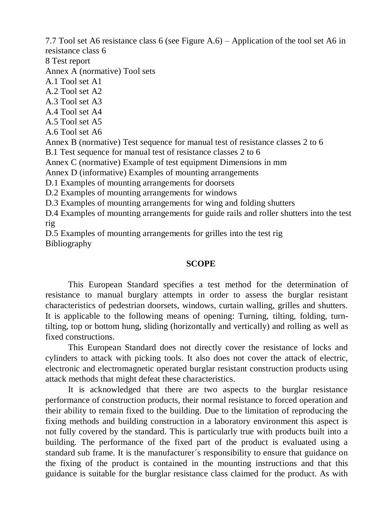7.7 Tool set A6 resistance class 6 (see Figure A.6) – Application of the tool set A6 in resistance class 6

8 Test report

Annex A (normative) Tool sets

A.1 Tool set A1

A.2 Tool set A2

A.3 Tool set A3

A.4 Tool set A4

A.5 Tool set A5

A.6 Tool set A6

Annex B (normative) Test sequence for manual test of resistance classes 2 to 6

B.1 Test sequence for manual test of resistance classes 2 to 6

Annex C (normative) Example of test equipment Dimensions in mm

Annex D (informative) Examples of mounting arrangements

D.1 Examples of mounting arrangements for doorsets

D.2 Examples of mounting arrangements for windows

D.3 Examples of mounting arrangements for wing and folding shutters

D.4 Examples of mounting arrangements for guide rails and roller shutters into the test rig

D.5 Examples of mounting arrangements for grilles into the test rig

Bibliography

## **SCOPE**

This European Standard specifies a test method for the determination of resistance to manual burglary attempts in order to assess the burglar resistant characteristics of pedestrian doorsets, windows, curtain walling, grilles and shutters. It is applicable to the following means of opening: Turning, tilting, folding, turntilting, top or bottom hung, sliding (horizontally and vertically) and rolling as well as fixed constructions.

This European Standard does not directly cover the resistance of locks and cylinders to attack with picking tools. It also does not cover the attack of electric, electronic and electromagnetic operated burglar resistant construction products using attack methods that might defeat these characteristics.

It is acknowledged that there are two aspects to the burglar resistance performance of construction products, their normal resistance to forced operation and their ability to remain fixed to the building. Due to the limitation of reproducing the fixing methods and building construction in a laboratory environment this aspect is not fully covered by the standard. This is particularly true with products built into a building. The performance of the fixed part of the product is evaluated using a standard sub frame. It is the manufacturer´s responsibility to ensure that guidance on the fixing of the product is contained in the mounting instructions and that this guidance is suitable for the burglar resistance class claimed for the product. As with